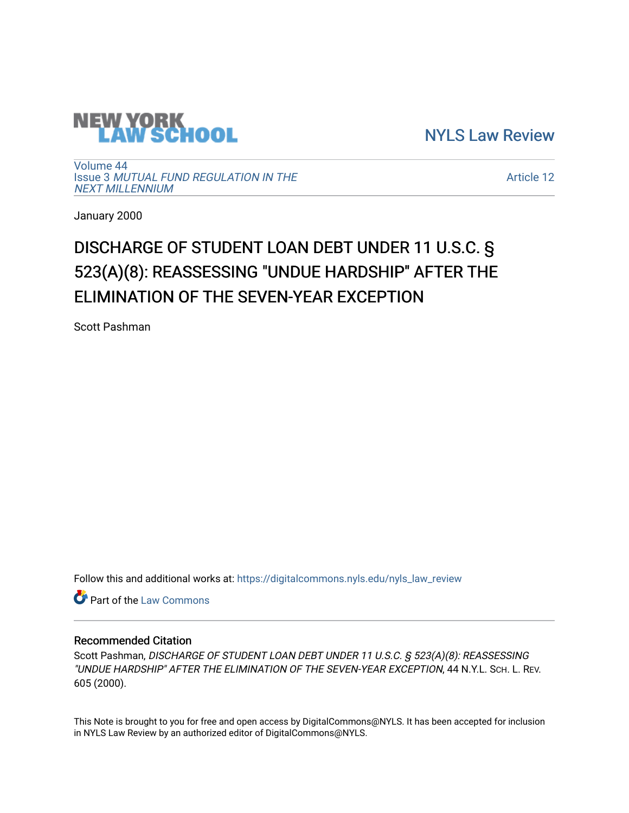

[NYLS Law Review](https://digitalcommons.nyls.edu/nyls_law_review) 

[Volume 44](https://digitalcommons.nyls.edu/nyls_law_review/vol44) Issue 3 [MUTUAL FUND REGULATION IN THE](https://digitalcommons.nyls.edu/nyls_law_review/vol44/iss3)  [NEXT MILLENNIUM](https://digitalcommons.nyls.edu/nyls_law_review/vol44/iss3)

[Article 12](https://digitalcommons.nyls.edu/nyls_law_review/vol44/iss3/12) 

January 2000

# DISCHARGE OF STUDENT LOAN DEBT UNDER 11 U.S.C. § 523(A)(8): REASSESSING "UNDUE HARDSHIP" AFTER THE ELIMINATION OF THE SEVEN-YEAR EXCEPTION

Scott Pashman

Follow this and additional works at: [https://digitalcommons.nyls.edu/nyls\\_law\\_review](https://digitalcommons.nyls.edu/nyls_law_review?utm_source=digitalcommons.nyls.edu%2Fnyls_law_review%2Fvol44%2Fiss3%2F12&utm_medium=PDF&utm_campaign=PDFCoverPages) 

Part of the [Law Commons](https://network.bepress.com/hgg/discipline/578?utm_source=digitalcommons.nyls.edu%2Fnyls_law_review%2Fvol44%2Fiss3%2F12&utm_medium=PDF&utm_campaign=PDFCoverPages)

## Recommended Citation

Scott Pashman, DISCHARGE OF STUDENT LOAN DEBT UNDER 11 U.S.C. § 523(A)(8): REASSESSING "UNDUE HARDSHIP" AFTER THE ELIMINATION OF THE SEVEN-YEAR EXCEPTION, 44 N.Y.L. SCH. L. REV. 605 (2000).

This Note is brought to you for free and open access by DigitalCommons@NYLS. It has been accepted for inclusion in NYLS Law Review by an authorized editor of DigitalCommons@NYLS.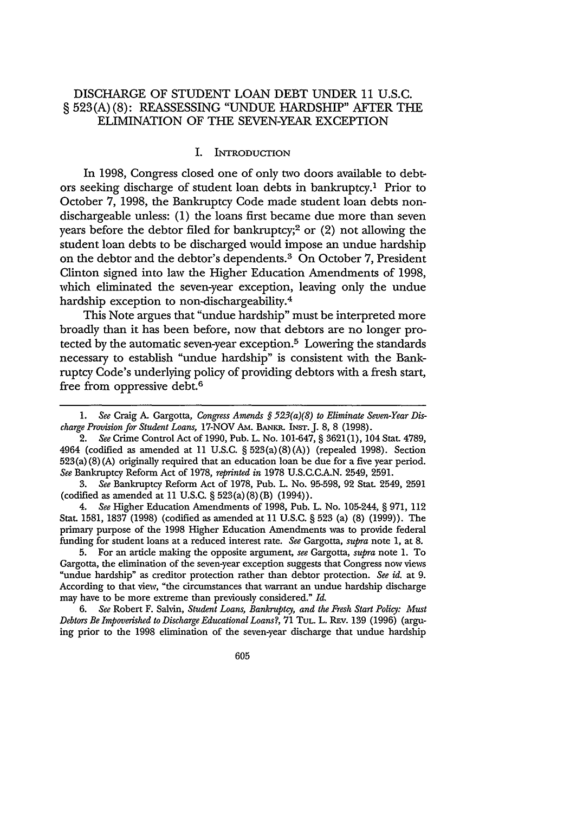## DISCHARGE OF STUDENT LOAN DEBT UNDER **11** U.S.C. **§ 523(A) (8):** REASSESSING "UNDUE HARDSHIP" AFTER THE ELIMINATION OF THE SEVEN-YEAR EXCEPTION

#### I. INTRODUCTION

In 1998, Congress closed one of only two doors available to debtors seeking discharge of student loan debts in bankruptcy.' Prior to October 7, 1998, the Bankruptcy Code made student loan debts nondischargeable unless: **(1)** the loans first became due more than seven years before the debtor filed for bankruptcy;<sup>2</sup> or  $(2)$  not allowing the student loan debts to be discharged would impose an undue hardship on the debtor and the debtor's dependents.3 On October 7, President Clinton signed into law the Higher Education Amendments of 1998, which eliminated the seven-year exception, leaving only the undue hardship exception to non-dischargeability.<sup>4</sup>

This Note argues that "undue hardship" must be interpreted more broadly than it has been before, now that debtors are no longer protected by the automatic seven-year exception.5 Lowering the standards necessary to establish "undue hardship" is consistent with the Bankruptcy Code's underlying policy of providing debtors with a fresh start, free from oppressive debt.6

3. *See* Bankruptcy Reform Act of 1978, Pub. L. No. 95-598, 92 Stat. 2549, 2591 (codified as amended at 11 U.S.C. § 523(a)(8)(B) (1994)).

4. *See* Higher Education Amendments of 1998, Pub. L. No. 105-244, § 971, 112 Stat. 1581, 1837 (1998) (codified as amended at 11 U.S.C. § 523 (a) (8) (1999)). The primary purpose of the 1998 Higher Education Amendments was to provide federal funding for student loans at a reduced interest rate. *See* Gargotta, *supra* note 1, at 8.

5. For an article making the opposite argument, *see* Gargotta, *supra* note 1. To Gargotta, the elimination of the seven-year exception suggests that Congress now views 'undue hardship" as creditor protection rather than debtor protection. *See id.* at 9. According to that view, "the circumstances that warrant an undue hardship discharge may have to be more extreme than previously considered." *Id.*

6. *See* Robert F. Salvin, *Student Loans, Bankruptcy, and the Fresh Start Policy: Must Debtors Be Impoverished to Discharge Educational Loansi,* 71 **TUL.** L. REv. 139 (1996) (arguing prior to the 1998 elimination of the seven-year discharge that undue hardship

<sup>1.</sup> *See* Craig A. Gargotta, *Congress Amends* **§** *523(a)(8) to Eliminate Seven-Year Discharge Provision for Student Loans,* 17-NOV AM. BANKR. INST. J. 8, 8 (1998).

*<sup>2.</sup> See* Crime Control Act of 1990, Pub. L. No. 101-647, § 3621(1), 104 Stat. 4789, 4964 (codified as amended at 11 U.S.C. § 523(a) (8) (A)) (repealed 1998). Section 523(a) (8) (A) originally required that an education loan be due for a five year period. *See* Bankruptcy Reform Act of 1978, *reprinted in* 1978 U.S.C.C.A.N. 2549, 2591.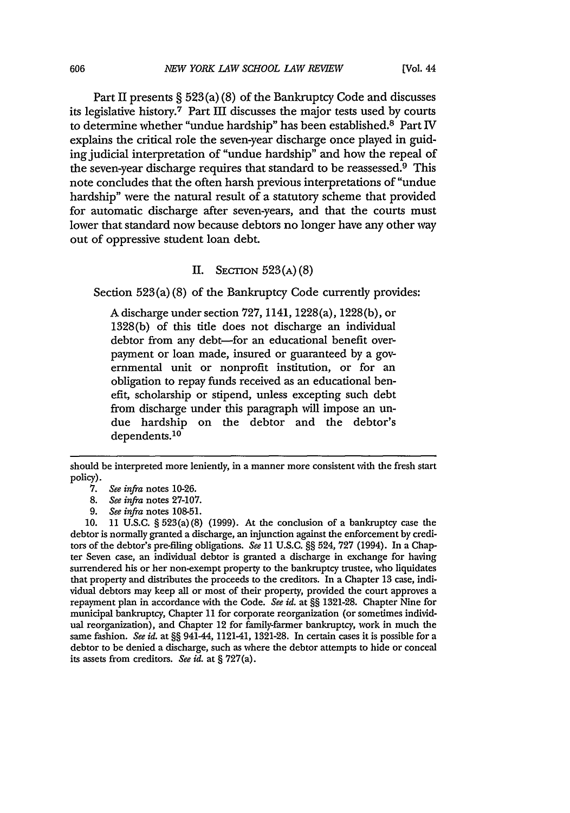Part II presents § 523 (a) (8) of the Bankruptcy Code and discusses its legislative history.7 Part III discusses the major tests used by courts to determine whether "undue hardship" has been established.8 Part IV explains the critical role the seven-year discharge once played in guiding judicial interpretation of "undue hardship" and how the repeal of the seven-year discharge requires that standard to be reassessed.9 This note concludes that the often harsh previous interpretations of "undue hardship" were the natural result of a statutory scheme that provided for automatic discharge after seven-years, and that the courts must lower that standard now because debtors no longer have any other way out of oppressive student loan debt.

## II. **SECTION** 523(A) (8)

Section 523(a)(8) of the Bankruptcy Code currently provides:

A discharge under section 727, 1141, 1228(a), 1228(b), or 1328(b) of this title does not discharge an individual debtor from any debt-for an educational benefit overpayment or loan made, insured or guaranteed by a governmental unit or nonprofit institution, or for an obligation to repay funds received as an educational benefit, scholarship or stipend, unless excepting such debt from discharge under this paragraph will impose an undue hardship on the debtor and the debtor's dependents.<sup>10</sup>

should be interpreted more leniently, in a manner more consistent with the fresh start policy).

<sup>7.</sup> *See infra* notes 10-26.

*<sup>8.</sup> See infra* notes 27-107.

*<sup>9.</sup> See infra* notes 108-51.

<sup>10. 11</sup> U.S.C. § 523(a) (8) (1999). At the conclusion of a bankruptcy case the debtor is normally granted a discharge, an injunction against the enforcement by creditors of the debtor's pre-filing obligations. *See* 11 U.S.c. §§ 524, 727 (1994). In a Chapter Seven case, an individual debtor is granted a discharge in exchange for having surrendered his or her non-exempt property to the bankruptcy trustee, who liquidates that property and distributes the proceeds to the creditors. In a Chapter 13 case, individual debtors may keep all or most of their property, provided the court approves a repayment plan in accordance with the Code. *See id.* at §§ 1321-28. Chapter Nine for municipal bankruptcy, Chapter 11 for corporate reorganization (or sometimes individual reorganization), and Chapter 12 for family-farmer bankruptcy, work in much the same fashion. *See id.* at §§ 941-44, 1121-41, 1321-28. In certain cases it is possible for a debtor to be denied a discharge, such as where the debtor attempts to hide or conceal its assets from creditors. *See id.* at § 727(a).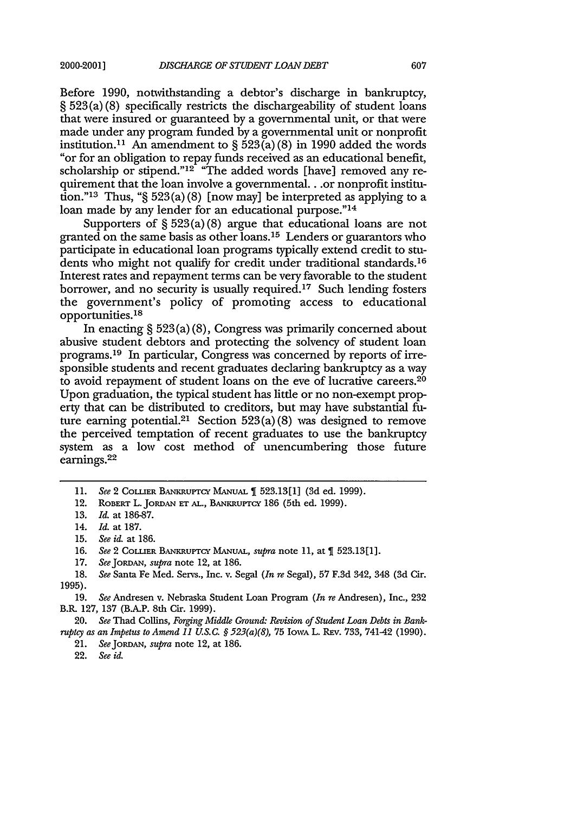Before 1990, notwithstanding a debtor's discharge in bankruptcy, § 523 (a) (8) specifically restricts the dischargeability of student loans that were insured or guaranteed by a governmental unit, or that were made under any program funded by a governmental unit or nonprofit institution.<sup>11</sup> An amendment to  $\S 523(a)(8)$  in 1990 added the words "or for an obligation to repay funds received as an educational benefit, scholarship or stipend." $12$  "The added words [have] removed any requirement that the loan involve a governmental.. .or nonprofit institution."<sup>13</sup> Thus, " $\S$  523(a)(8) [now may] be interpreted as applying to a loan made by any lender for an educational purpose."<sup>14</sup>

Supporters of  $\S 523(a)(8)$  argue that educational loans are not granted on the same basis as other loans. 15 Lenders or guarantors who participate in educational loan programs typically extend credit to students who might not qualify for credit under traditional standards.<sup>16</sup> Interest rates and repayment terms can be very favorable to the student borrower, and no security is usually required.<sup>17</sup> Such lending fosters the government's policy of promoting access to educational opportunities.<sup>18</sup>

In enacting § 523 (a) (8), Congress was primarily concerned about abusive student debtors and protecting the solvency of student loan programs.<sup>19</sup> In particular, Congress was concerned by reports of irresponsible students and recent graduates declaring bankruptcy as a way to avoid repayment of student loans on the eve of lucrative careers. <sup>20</sup> Upon graduation, the typical student has little or no non-exempt property that can be distributed to creditors, but may have substantial future earning potential.<sup>21</sup> Section 523(a)(8) was designed to remove the perceived temptation of recent graduates to use the bankruptcy system as a low cost method of unencumbering those future earnings. <sup>22</sup>

17. *See* joRDAN, *supra* note 12, at 186.

20. *See* Thad Collins, *Forging Middle Ground: Revision of Student Loan Debts in Bankruptcy as an Impetus to Amend 11 U.S.C.* **§** *523(a)(8),* 75 **IOWA** L. REv. 733, 741-42 (1990).

21. SeeJoRDAN, *supra* note 12, at 186.

**<sup>11.</sup>** *See* 2 COLLIER **BANKRUPTcY** MANuAL 523.13[1] (3d **ed.** 1999).

<sup>12.</sup> ROBERT L. JORDAN Er **AL.,** BANKRuPTcy 186 (5th ed. 1999).

<sup>13.</sup> *Id.* at 186-87.

<sup>14.</sup> *Id.* at 187.

<sup>15.</sup> *See id.* at 186.

<sup>16.</sup> See 2 COLLIER BANKRUPTCY MANUAL, *supra* note 11, at 1 523.13[1].

<sup>18.</sup> *See* Santa Fe Med. Servs., Inc. v. Segal *(In re* Segal), 57 F.3d 342, 348 (3d Cir. 1995).

<sup>19.</sup> *See* Andresen v. Nebraska Student Loan Program *(In re* Andresen), Inc., 232 B.R. 127, 137 (B.A.P. 8th Cir. 1999).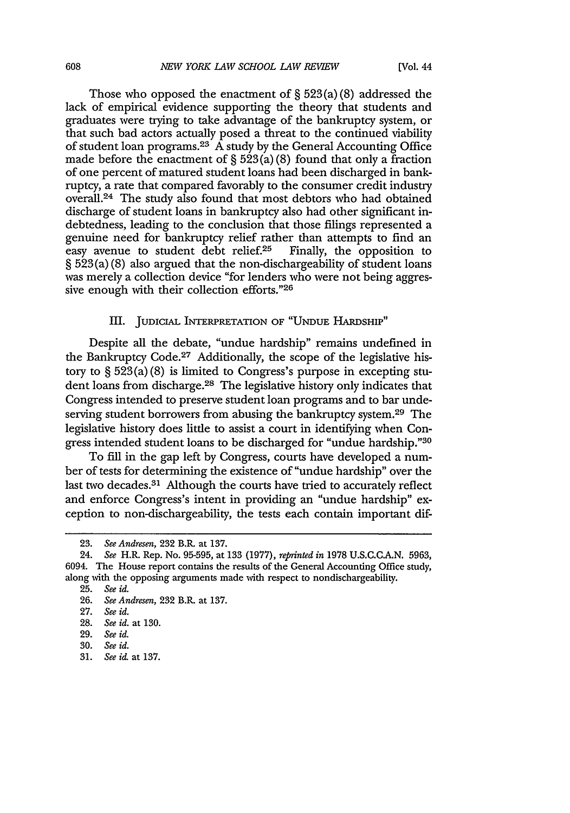Those who opposed the enactment of § **523** (a) (8) addressed the lack of empirical evidence supporting the theory that students and graduates were trying to take advantage of the bankruptcy system, or that such bad actors actually posed a threat to the continued viability of student loan programs.  $23 \text{ Å}$  study by the General Accounting Office made before the enactment of  $\S 523(a)(8)$  found that only a fraction of one percent of matured student loans had been discharged in bankruptcy, a rate that compared favorably to the consumer credit industry overall.24 The study also found that most debtors who had obtained discharge of student loans in bankruptcy also had other significant indebtedness, leading to the conclusion that those filings represented a genuine need for bankruptcy relief rather than attempts to find an easy avenue to student debt relief. $25$  Finally, the opposition to § 523 (a) (8) also argued that the non-dischargeability of student loans was merely a collection device "for lenders who were not being aggressive enough with their collection efforts."<sup>26</sup>

## III. **JUDICIAL** INTERPRETATION OF **"UNDUE** HARDSHIP"

Despite all the debate, "undue hardship" remains undefined in the Bankruptcy Code.27 Additionally, the scope of the legislative history to § 523(a) (8) is limited to Congress's purpose in excepting student loans from discharge.28 The legislative history only indicates that Congress intended to preserve student loan programs and to bar undeserving student borrowers from abusing the bankruptcy system.29 The legislative history does little to assist a court in identifying when Congress intended student loans to be discharged for "undue hardship."30

To fill in the gap left by Congress, courts have developed a number of tests for determining the existence of "undue hardship" over the last two decades.<sup>31</sup> Although the courts have tried to accurately reflect and enforce Congress's intent in providing an "undue hardship" exception to non-dischargeability, the tests each contain important dif-

<sup>23.</sup> *See Andresen,* 232 B.R. at 137.

<sup>24.</sup> *See* H.R. Rep. No. 95-595, at 133 (1977), *reprinted in* 1978 U.S.C.G.A.N. 5963, 6094. The House report contains the results of the General Accounting Office study, along with the opposing arguments made with respect to nondiscbargeability.

<sup>25.</sup> *See id.*

<sup>26.</sup> *See Andresen,* 232 B.R. at 137.

<sup>27.</sup> *See id.*

<sup>28.</sup> *See id.* at 130.

<sup>29.</sup> *See id.*

<sup>30.</sup> *See id.*

<sup>31.</sup> *See* i& at 137.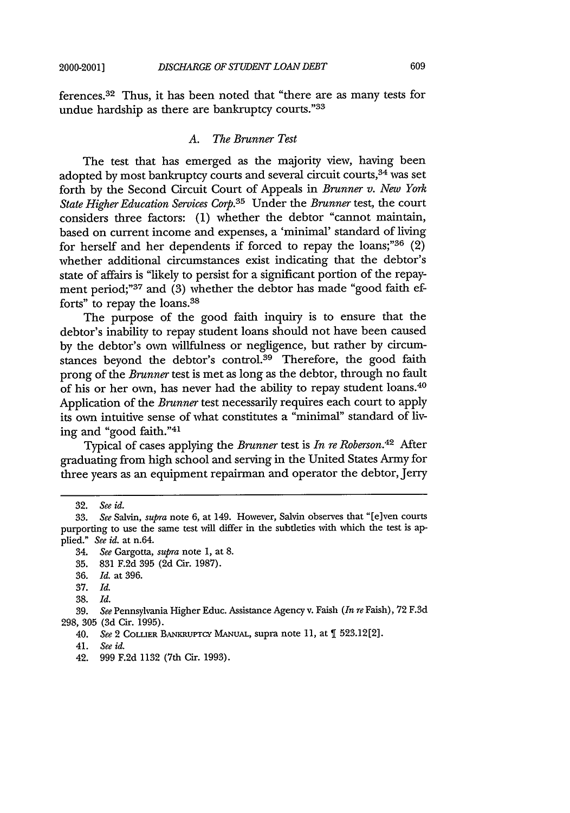ferences. 32 Thus, it has been noted that "there are as many tests for undue hardship as there are bankruptcy courts."33

## *A. The Brunner Test*

The test that has emerged as the majority view, having been adopted by most bankruptcy courts and several circuit courts,  $34$  was set forth by the Second Circuit Court of Appeals in *Brunner v. New York State Higher Education Services Corp.35* Under the *Brunner* test, the court considers three factors: (1) whether the debtor "cannot maintain, based on current income and expenses, a 'minimal' standard of living for herself and her dependents if forced to repay the loans;" $36$  (2) whether additional circumstances exist indicating that the debtor's state of affairs is "likely to persist for a significant portion of the repayment period;"<sup>37</sup> and (3) whether the debtor has made "good faith efforts" to repay the loans.<sup>38</sup>

The purpose of the good faith inquiry is to ensure that the debtor's inability to repay student loans should not have been caused by the debtor's own willfulness or negligence, but rather by circumstances beyond the debtor's control.39 Therefore, the good faith prong of the *Brunner* test is met as long as the debtor, through no fault of his or her own, has never had the ability to repay student loans. <sup>40</sup> Application of the *Brunner* test necessarily requires each court to apply its own intuitive sense of what constitutes a "minimal" standard of living and "good faith."41

Typical of cases applying the *Brunner* test is *In re Roberson*.<sup>42</sup> After graduating from high school and serving in the United States Army for three years as an equipment repairman and operator the debtor, Jerry

39. *See* Pennsylvania Higher Educ. Assistance Agency v. Faish *(In re* Faish), **72** F.3d 298, **305** (3d Cir. 1995).

<sup>32.</sup> *See id.*

<sup>33.</sup> *See Salvin, supra* note 6, at 149. However, Salvin observes that "[e]ven courts purporting to use the same test will differ in the subtleties with which the test is applied." *See id.* at n.64.

<sup>34.</sup> *See* Gargotta, *supra* note 1, at 8.

<sup>35. 831</sup> F.2d 395 (2d Cir. 1987).

<sup>36.</sup> *Id.* at 396.

<sup>37.</sup> *Id.*

**<sup>38.</sup>** *Id.*

<sup>40.</sup> See 2 COLLIER BANKRUPTCY MANUAL, supra note 11, at 1 523.12[2].

<sup>41.</sup> *See id.*

<sup>42. 999</sup> F.2d 1132 (7th Cir. 1993).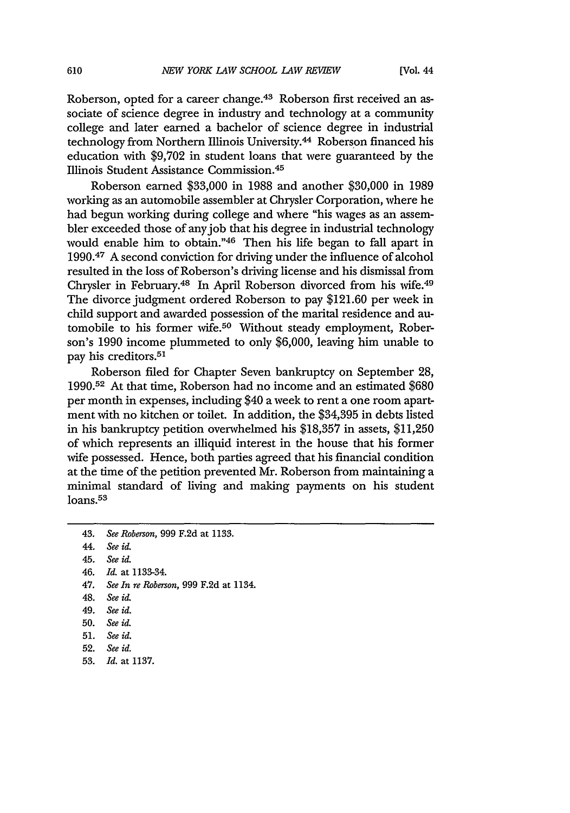Roberson, opted for a career change.<sup>43</sup> Roberson first received an associate of science degree in industry and technology at a community college and later earned a bachelor of science degree in industrial technology from Northern Illinois University.44 Roberson financed his education with \$9,702 in student loans that were guaranteed by the Illinois Student Assistance Commission. <sup>45</sup>

Roberson earned \$33,000 in 1988 and another \$30,000 in 1989 working as an automobile assembler at Chrysler Corporation, where he had begun working during college and where "his wages as an assembler exceeded those of any job that his degree in industrial technology would enable him to obtain."46 Then his life began to fall apart in 1990. 47 A second conviction for driving under the influence of alcohol resulted in the loss of Roberson's driving license and his dismissal from Chrysler in February.<sup>48</sup> In April Roberson divorced from his wife.<sup>49</sup> The divorce judgment ordered Roberson to pay \$121.60 per week in child support and awarded possession of the marital residence and automobile to his former wife.50 Without steady employment, Roberson's 1990 income plummeted to only \$6,000, leaving him unable to pay his creditors.<sup>51</sup>

Roberson filed for Chapter Seven bankruptcy on September 28, 1990.52 At that time, Roberson had no income and an estimated \$680 per month in expenses, including \$40 a week to rent a one room apartment with no kitchen or toilet. In addition, the \$34,395 in debts listed in his bankruptcy petition overwhelmed his \$18,357 in assets, \$11,250 of which represents an illiquid interest in the house that his former wife possessed. Hence, both parties agreed that his financial condition at the time of the petition prevented Mr. Roberson from maintaining a minimal standard of living and making payments on his student loans.<sup>53</sup>

47. *See In re Roberson,* 999 F.2d at 1134.

53. *Id.* at 1137.

<sup>43,</sup> *See Roberson,* 999 **F.2d** at 1133.

<sup>44.</sup> *See* id.

<sup>45.</sup> *See id.*

<sup>46.</sup> *Id.* at 1133-34.

<sup>48.</sup> *See id.*

<sup>49.</sup> *See id.*

**<sup>50.</sup>** *See id.*

<sup>51.</sup> *See id.*

**<sup>52.</sup>** *See id.*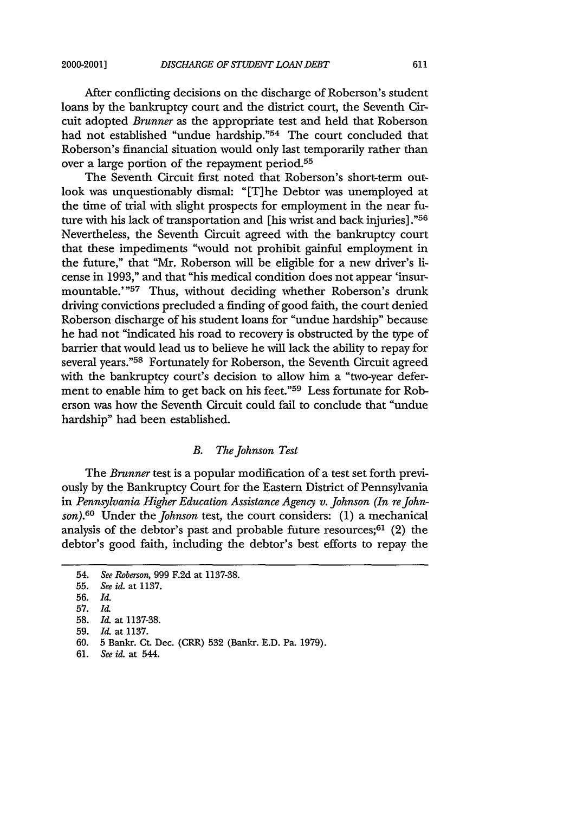After conflicting decisions on the discharge of Roberson's student loans by the bankruptcy court and the district court, the Seventh Circuit adopted *Brunner* as the appropriate test and held that Roberson had not established "undue hardship."54 The court concluded that Roberson's financial situation would only last temporarily rather than over a large portion of the repayment period.55

The Seventh Circuit first noted that Roberson's short-term outlook was unquestionably dismal: "[T]he Debtor was unemployed at the time of trial with slight prospects for employment in the near future with his lack of transportation and [his wrist and back injuries]."<sup>56</sup> Nevertheless, the Seventh Circuit agreed with the bankruptcy court that these impediments "would not prohibit gainful employment in the future," that "Mr. Roberson will be eligible for a new driver's license in 1993," and that "his medical condition does not appear 'insurmountable.'"<sup>57</sup> Thus, without deciding whether Roberson's drunk driving convictions precluded a finding of good faith, the court denied Roberson discharge of his student loans for "undue hardship" because he had not "indicated his road to recovery is obstructed by the type of barrier that would lead us to believe he will lack the ability to repay for several years."58 Fortunately for Roberson, the Seventh Circuit agreed with the bankruptcy court's decision to allow him a "two-year deferment to enable him to get back on his feet."<sup>59</sup> Less fortunate for Roberson was how the Seventh Circuit could fail to conclude that "undue hardship" had been established.

## *B. The Johnson Test*

The *Brunner* test is a popular modification of a test set forth previously by the Bankruptcy Court for the Eastern District of Pennsylvania in Pennsylvania Higher Education Assistance Agency v. Johnson (In re John*son).6 <sup>0</sup>*Under the *Johnson* test, the court considers: (1) a mechanical analysis of the debtor's past and probable future resources; $61$  (2) the debtor's good faith, including the debtor's best efforts to repay the

<sup>54.</sup> *See Roberson,* 999 **F.2d** at **1137-38.**

<sup>55.</sup> *See id.* at **1137.**

**<sup>56.</sup>** *Id.*

**<sup>57.</sup>** 1&

**<sup>58.</sup>** *Id.* at **1137-38.**

**<sup>59.</sup> Id-** at **1137.**

**<sup>60. 5</sup>** Bankr. Ct. Dec. **(CRR) 532** (Bankr. **E.D.** Pa. **1979).**

**<sup>61.</sup>** *See* id. at 544.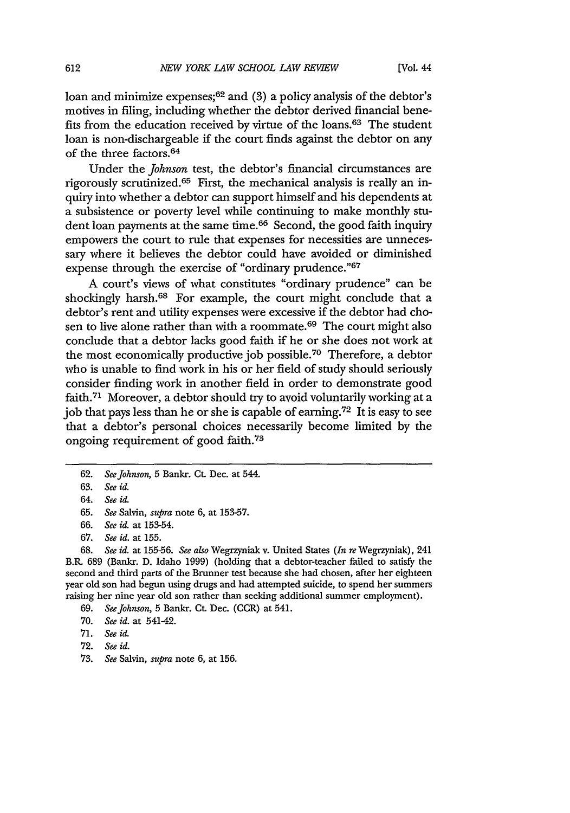loan and minimize expenses;<sup>62</sup> and (3) a policy analysis of the debtor's motives in filing, including whether the debtor derived financial benefits from the education received by virtue of the loans.63 The student loan is non-dischargeable if the court finds against the debtor on any of the three factors. <sup>64</sup>

Under the *Johnson* test, the debtor's financial circumstances are rigorously scrutinized. 65 First, the mechanical analysis is really an inquiry into whether a debtor can support himself and his dependents at a subsistence or poverty level while continuing to make monthly student loan payments at the same time.<sup>66</sup> Second, the good faith inquiry empowers the court to rule that expenses for necessities are unnecessary where it believes the debtor could have avoided or diminished expense through the exercise of "ordinary prudence." 67

A court's views of what constitutes "ordinary prudence" can be shockingly harsh.<sup>68</sup> For example, the court might conclude that a debtor's rent and utility expenses were excessive if the debtor had chosen to live alone rather than with a roommate. 69 The court might also conclude that a debtor lacks good faith if he or she does not work at the most economically productive job possible. 70 Therefore, a debtor who is unable to find work in his or her field of study should seriously consider finding work in another field in order to demonstrate good faith.71 Moreover, a debtor should try to avoid voluntarily working at a job that pays less than he or she is capable of earning.72 It is easy to see that a debtor's personal choices necessarily become limited by the ongoing requirement of good faith.<sup>73</sup>

68. *See id.* at 155-56. *See also* Wegrzyniak v. United States *(In re* Wegrzyniak), 241 B.R. 689 (Bankr. D. Idaho 1999) (holding that a debtor-teacher failed to satisfy the second and third parts of the Brunner test because she had chosen, after her eighteen year old son had begun using drugs and had attempted suicide, to spend her summers raising her nine year old son rather than seeking additional summer employment).

**<sup>62.</sup>** *See Johnson,* **5** Bankr. Ct. Dec. at 544.

<sup>63.</sup> *See id.*

<sup>64.</sup> *See id.*

<sup>65.</sup> *See* Salvin, *supra* note 6, at 153-57.

<sup>66.</sup> *See id.* at 153-54.

<sup>67.</sup> *See id.* at 155.

<sup>69.</sup> *See Johnson,* 5 Bankr. Ct. Dec. (CCR) at 541.

<sup>70.</sup> *See id.* at 541-42.

<sup>71.</sup> *See id.*

<sup>72.</sup> *See id.*

<sup>73.</sup> *See* Salvin, *supra* note 6, at 156.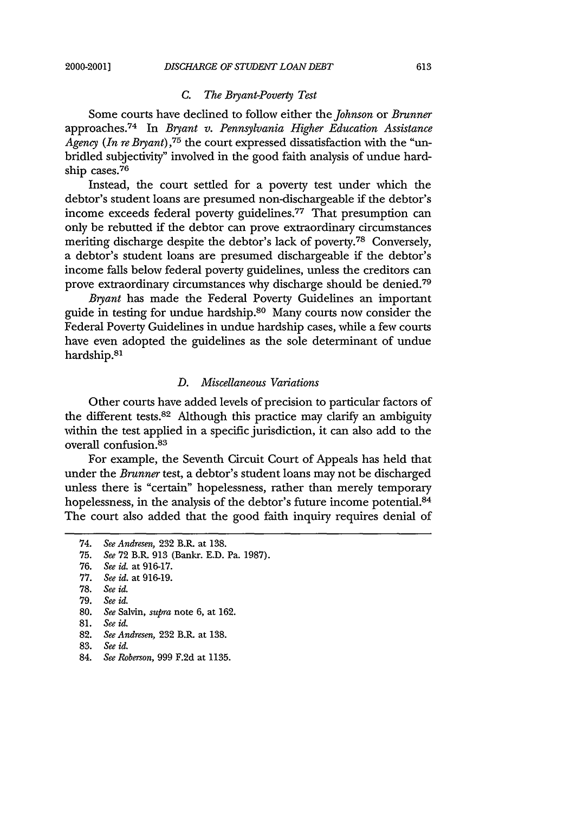## *C. The Bryant-Poverty Test*

Some courts have declined to follow either the *Johnson* or *Brunner* approaches. 74 In *Bryant v. Pennsylvania Higher Education Assistance Agency (In re Bryant),75* the court expressed dissatisfaction with the "unbridled subjectivity" involved in the good faith analysis of undue hardship cases. 76

Instead, the court settled for a poverty test under which the debtor's student loans are presumed non-dischargeable if the debtor's income exceeds federal poverty guidelines.<sup>77</sup> That presumption can only be rebutted if the debtor can prove extraordinary circumstances meriting discharge despite the debtor's lack of poverty.78 Conversely, a debtor's student loans are presumed dischargeable if the debtor's income falls below federal poverty guidelines, unless the creditors can prove extraordinary circumstances why discharge should be denied.7 <sup>9</sup>

*Bryant* has made the Federal Poverty Guidelines an important guide in testing for undue hardship.<sup>80</sup> Many courts now consider the Federal Poverty Guidelines in undue hardship cases, while a few courts have even adopted the guidelines as the sole determinant of undue hardship.<sup>81</sup>

#### *D. Miscellaneous Variations*

Other courts have added levels of precision to particular factors of the different tests.82 Although this practice may clarify an ambiguity within the test applied in a specific jurisdiction, it can also add to the overall confusion. <sup>83</sup>

For example, the Seventh Circuit Court of Appeals has held that under the *Brunner* test, a debtor's student loans may not be discharged unless there is "certain" hopelessness, rather than merely temporary hopelessness, in the analysis of the debtor's future income potential.<sup>84</sup> The court also added that the good faith inquiry requires denial of

<sup>74.</sup> *See Andresen,* 232 B.R. at 138.

<sup>75.</sup> *See* 72 B.R. 913 (Bankr. E.D. Pa. 1987).

<sup>76.</sup> *See id.* at 916-17.

<sup>77.</sup> *See id.* at 916-19.

<sup>78.</sup> *See id.*

<sup>79.</sup> *See id.*

<sup>80.</sup> *See* Salvin, *supra* note 6, at 162.

<sup>81.</sup> *See id.*

<sup>82.</sup> *See Andresen,* 232 B.R. at 138.

<sup>83.</sup> *See id.*

<sup>84.</sup> *See Roberson,* 999 F.2d at 1135.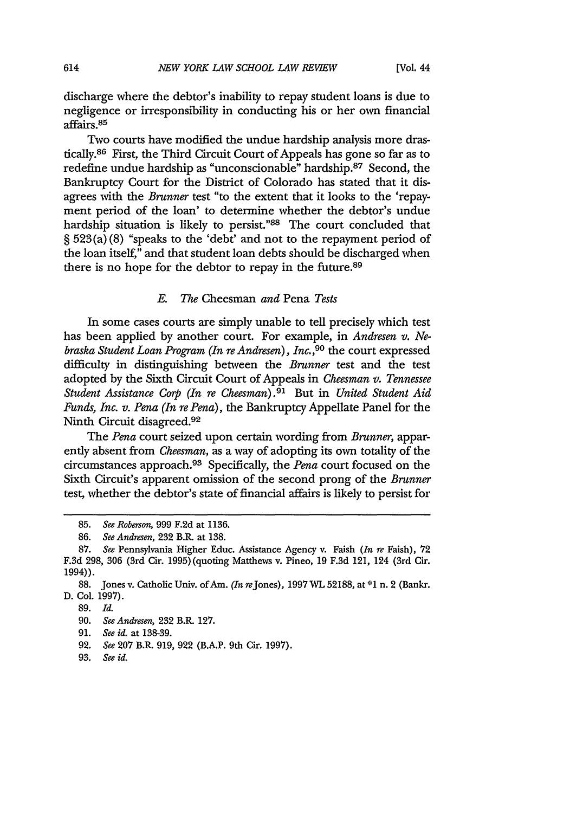discharge where the debtor's inability to repay student loans is due to negligence or irresponsibility in conducting his or her own financial affairs. <sup>85</sup>

Two courts have modified the undue hardship analysis more drastically.86 First, the Third Circuit Court of Appeals has gone so far as to redefine undue hardship as "unconscionable" hardship.87 Second, the Bankruptcy Court for the District of Colorado has stated that it disagrees with the *Brunner* test "to the extent that it looks to the 'repayment period of the loan' to determine whether the debtor's undue hardship situation is likely to persist."88 The court concluded that § 523(a) (8) "speaks to the 'debt' and not to the repayment period of the loan itself," and that student loan debts should be discharged when there is no hope for the debtor to repay in the future.<sup>89</sup>

#### *E. The* Cheesman *and* Pena *Tests*

In some cases courts are simply unable to tell precisely which test has been applied by another court. For example, in *Andresen v. Nebraska Student Loan Program (In re Andresen), Inc.*,<sup>90</sup> the court expressed difficulty in distinguishing between the *Brunner* test and the test adopted by the Sixth Circuit Court of Appeals in *Cheesman v. Tennessee Student Assistance Corp (In re Cheesman). <sup>91</sup>*But in *United Student Aid* Funds, *Inc. v. Pena (In re Pena),* the Bankruptcy Appellate Panel for the Ninth Circuit disagreed. <sup>92</sup>

The *Pena* court seized upon certain wording from *Brunner,* apparently absent from *Cheesman,* as a way of adopting its own totality of the circumstances approach.93 Specifically, the *Pena* court focused on the Sixth Circuit's apparent omission of the second prong of the *Brunner* test, whether the debtor's state of financial affairs is likely to persist for

**<sup>85.</sup>** *See Roberson,* 999 F.2d at 1136.

<sup>86.</sup> *See Andresen,* **232** B.R. at 138.

<sup>87.</sup> *See* Pennsylvania Higher Educ. Assistance Agency v. Faish *(In re* Faish), 72 F.3d 298, 306 (3rd Cir. 1995) (quoting Matthews v. Pineo, 19 F.3d 121, 124 (3rd Cir. 1994)).

<sup>88.</sup> Jones v. Catholic Univ. of Am. *(In* reJones), 1997WL 52188, at **\*1** n. 2 (Bankr. D. Col. 1997).

<sup>89.</sup> *Id.*

<sup>90.</sup> *See Andresen,* **232** B.R. 127.

<sup>91.</sup> *See id.* at 138-39.

<sup>92.</sup> *See* 207 B.R. 919, 922 (BAP. 9th Cir. 1997).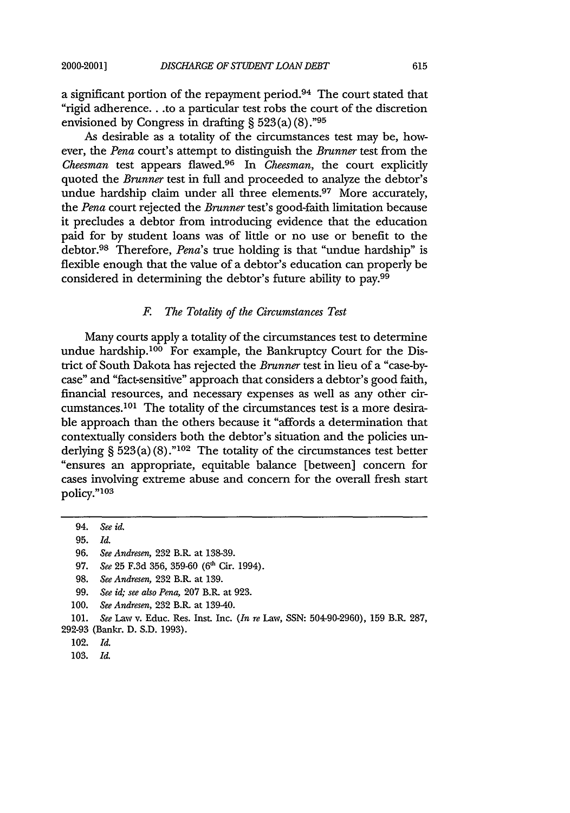a significant portion of the repayment period.94 The court stated that "rigid adherence.. .to a particular test robs the court of the discretion envisioned by Congress in drafting  $\S$  523(a)(8).<sup>"95</sup>

As desirable as a totality of the circumstances test may be, however, the *Pena* court's attempt to distinguish the *Brunner* test from the *Cheesman* test appears flawed.96 In *Cheesman,* the court explicitly quoted the *Brunner* test in full and proceeded to analyze the debtor's undue hardship claim under all three elements.<sup>97</sup> More accurately, the *Pena* court rejected the *Brunner* test's good-faith limitation because it precludes a debtor from introducing evidence that the education paid for by student loans was of little or no use or benefit to the debtor. 98 Therefore, *Pena's* true holding is that "undue hardship" is flexible enough that the value of a debtor's education can properly be considered in determining the debtor's future ability to pay.99

## *F. The Totality of the Circumstances Test*

Many courts apply a totality of the circumstances test to determine undue hardship.100 For example, the Bankruptcy Court for the District of South Dakota has rejected the *Brunner* test in lieu of a "case-bycase" and "fact-sensitive" approach that considers a debtor's good faith, financial resources, and necessary expenses as well as any other circumstances.10' The totality of the circumstances test is a more desirable approach than the others because it "affords a determination that contextually considers both the debtor's situation and the policies underlying § 523 (a) **(8)."102** The totality of the circumstances test better "ensures an appropriate, equitable balance [between] concern for cases involving extreme abuse and concern for the overall fresh start policy."<sup>103</sup>

97. *See* 25 F.3d 356, 359-60 **(6'** Cir. 1994).

- 99. *See id; see also Pena,* 207 B.R. at 923.
- 100. *See Andresen,* 232 B.R at 139-40.

<sup>94.</sup> *See id.*

**<sup>95.</sup>** *Id.*

<sup>96.</sup> *See Andresen,* 232 **B.R.** at 138-39.

<sup>98.</sup> *See Andresen,* 232 B.R. at 139.

<sup>101.</sup> *See* Law v. Educ. Res. Inst. Inc. *(In re* Law, SSN: 504-90-2960), 159 B.R. 287, 292-93 (Bankr. D. S.D. 1993).

<sup>102.</sup> *Id.*

<sup>103.</sup> *Id.*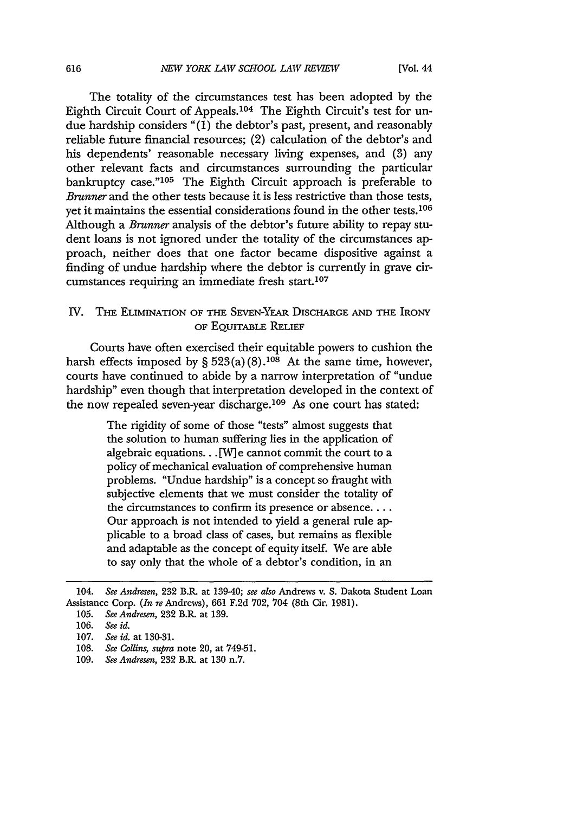The totality of the circumstances test has been adopted by the Eighth Circuit Court of Appeals.<sup>104</sup> The Eighth Circuit's test for undue hardship considers "(1) the debtor's past, present, and reasonably reliable future financial resources; (2) calculation of the debtor's and his dependents' reasonable necessary living expenses, and (3) any other relevant facts and circumstances surrounding the particular bankruptcy case."<sup>105</sup> The Eighth Circuit approach is preferable to *Brunner* and the other tests because it is less restrictive than those tests, yet it maintains the essential considerations found in the other tests.<sup>106</sup> Although a *Brunner* analysis of the debtor's future ability to repay student loans is not ignored under the totality of the circumstances approach, neither does that one factor became dispositive against a finding of undue hardship where the debtor is currently in grave circumstances requiring an immediate fresh start.<sup>107</sup>

## IV. THE ELIMINATION OF **THE** SEVEN-YEAR DISCHARGE **AND THE IRONY** OF **EQUrrABLE** RELIEF

Courts have often exercised their equitable powers to cushion the harsh effects imposed by § 523(a) **(8).108** At the same time, however, courts have continued to abide by a narrow interpretation of "undue hardship" even though that interpretation developed in the context of the now repealed seven-year discharge.<sup>109</sup> As one court has stated:

> The rigidity of some of those "tests" almost suggests that the solution to human suffering lies in the application of algebraic equations... [W] e cannot commit the court to a policy of mechanical evaluation of comprehensive human problems. "Undue hardship" is a concept so fraught with subjective elements that we must consider the totality of the circumstances to confirm its presence or absence.... Our approach is not intended to yield a general rule applicable to a broad class of cases, but remains as flexible and adaptable as the concept of equity itself. We are able to say only that the whole of a debtor's condition, in an

<sup>104.</sup> *See Andresen,* **232** B.R. at 139-40; *see also* Andrews v. S. Dakota Student Loan Assistance Corp. *(In re* Andrews), **661 F.2d 702,** 704 (8th Cir. 1981).

<sup>105.</sup> *See Andresen,* 232 B.R. at 139.

<sup>106.</sup> *See id.*

**<sup>107.</sup>** *See id.* at 130-31.

<sup>108.</sup> *See Collins, supra* note 20, at 749-51.

<sup>109.</sup> *See Andresen,* **232** B.R. at 130 n.7.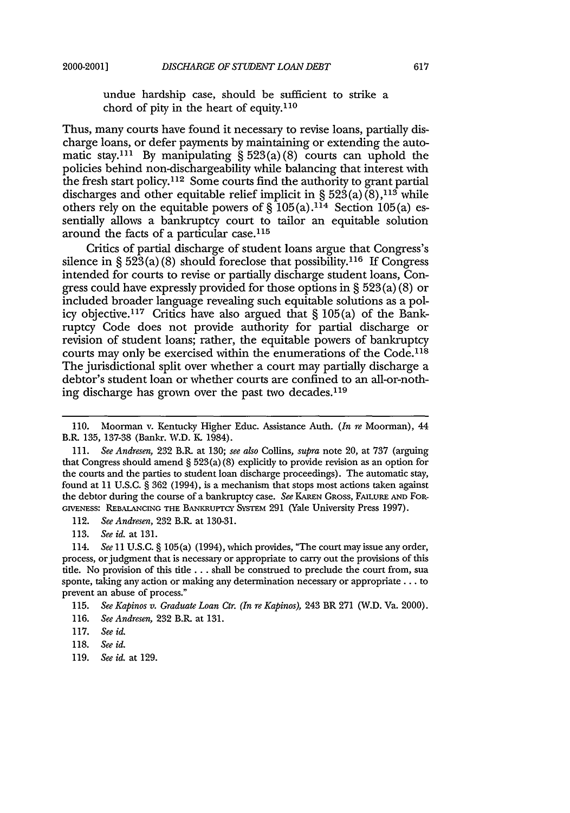undue hardship case, should be sufficient to strike a chord of pity in the heart of equity.110

Thus, many courts have found it necessary to revise loans, partially discharge loans, or defer payments by maintaining or extending the automatic stay.<sup>111</sup> By manipulating  $\S 523(a)(8)$  courts can uphold the policies behind non-dischargeability while balancing that interest with the fresh start policy.<sup>112</sup> Some courts find the authority to grant partial discharges and other equitable relief implicit in § 523(a)(8),<sup>113</sup> while others rely on the equitable powers of  $\hat{\S}$  105(a).<sup>114</sup> Section 105(a) essentially allows a bankruptcy court to tailor an equitable solution around the facts of a particular case.<sup>115</sup>

Critics of partial discharge of student loans argue that Congress's silence in §  $52\overline{3}(a)(8)$  should foreclose that possibility.<sup>116</sup> If Congress intended for courts to revise or partially discharge student loans, Congress could have expressly provided for those options in § 523 (a) (8) or included broader language revealing such equitable solutions as a policy objective.<sup>117</sup> Critics have also argued that  $\S 105(a)$  of the Bankruptcy Code does not provide authority for partial discharge or revision of student loans; rather, the equitable powers of bankruptcy courts may only be exercised within the enumerations of the Code. <sup>118</sup> The jurisdictional split over whether a court may partially discharge a debtor's student loan or whether courts are confined to an all-or-nothing discharge has grown over the past two decades. $119$ 

<sup>110.</sup> Moorman v. Kentucky Higher Educ. Assistance Auth. *(In re* Moorman), 44 B.R. 135, 137-38 (Bankr. W.D. K. 1984).

<sup>111.</sup> *See Andresen,* 232 B.R. at 130; see also Collins, *supra* note 20, at 737 (arguing that Congress should amend  $\S 523(a)(8)$  explicitly to provide revision as an option for the courts and the parties to student loan discharge proceedings). The automatic stay, found at 11 U.S.C. § 362 (1994), is a mechanism that stops most actions taken against the debtor during the course of a bankruptcy case. *See* KAREN GRoss, FAILURE **AND** FOR-GIVENESS: **REBALANCING THE** BANKRuprcy SysTEM 291 (Yale University Press 1997).

<sup>112.</sup> *See Andresen,* 232 B.R. at 130-31.

<sup>113.</sup> *See id.* at 131.

<sup>114.</sup> *See* 11 U.S.C. § 105(a) (1994), which provides, "The court may issue any order, process, or judgment that is necessary or appropriate to carry out the provisions of this tile. No provision of this title **...** shall be construed to preclude the court from, sua sponte, taking any action or making any determination necessary or appropriate.., to prevent an abuse of process."

<sup>115.</sup> *See Kapinos v. Graduate Loan Ctr. (In re Kapinos),* 243 BR 271 (W.D. Va. 2000).

<sup>116.</sup> *See Andresen,* 232 B.R. at 131.

<sup>117.</sup> *See id.*

<sup>118.</sup> *See id.*

<sup>119.</sup> *See id.* at 129.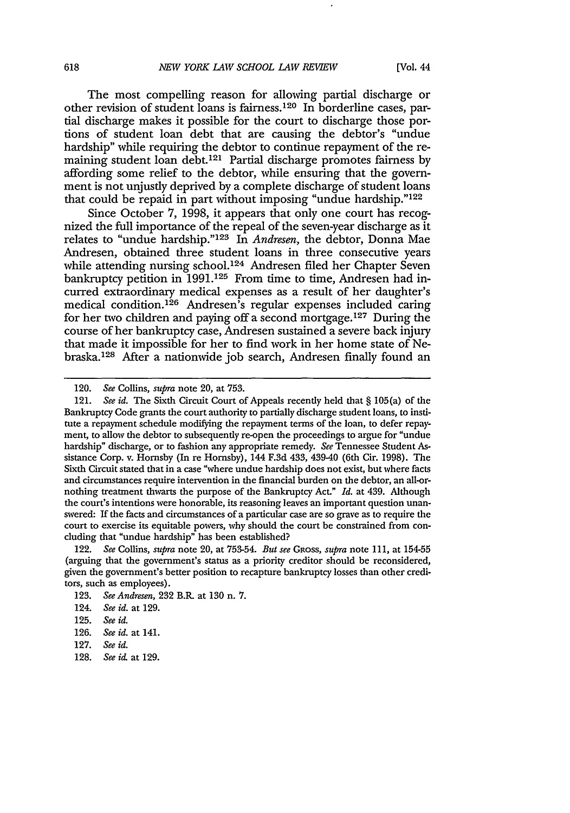The most compelling reason for allowing partial discharge or other revision of student loans is fairness. 120 In borderline cases, partial discharge makes it possible for the court to discharge those portions of student loan debt that are causing the debtor's "undue hardship" while requiring the debtor to continue repayment of the remaining student loan debt.<sup>121</sup> Partial discharge promotes fairness by affording some relief to the debtor, while ensuring that the government is not unjustly deprived by a complete discharge of student loans that could be repaid in part without imposing "undue hardship."'<sup>122</sup>

Since October 7, 1998, it appears that only one court has recognized the full importance of the repeal of the seven-year discharge as it relates to "undue hardship."<sup>123</sup> In *Andresen*, the debtor, Donna Mae Andresen, obtained three student loans in three consecutive years while attending nursing school.<sup>124</sup> Andresen filed her Chapter Seven bankruptcy petition in 1991.<sup>125</sup> From time to time, Andresen had incurred extraordinary medical expenses as a result of her daughter's medical condition.<sup>126</sup> Andresen's regular expenses included caring for her two children and paying off a second mortgage.127 During the course of her bankruptcy case, Andresen sustained a severe back injury that made it impossible for her to find work in her home state of Nebraska. 128 After a nationwide job search, Andresen finally found an

128. *See i&* at 129.

*<sup>120.</sup> See* Collins, *supra* note 20, at 753.

<sup>121.</sup> *See id.* The Sixth Circuit Court of Appeals recently held that § 105(a) of the Bankruptcy Code grants the court authority to partially discharge student loans, to institute a repayment schedule modifying the repayment terms of the loan, to defer repayment, to allow the debtor to subsequently re-open the proceedings to argue for "undue hardship" discharge, or to fashion any appropriate remedy. *See* Tennessee Student Assistance Corp. v. Hornsby (In re Hornsby), 144 F.3d 433, 439-40 (6th Cir. 1998). The Sixth Circuit stated that in a case "where undue hardship does not exist, but where facts and circumstances require intervention in the financial burden on the debtor, an all-ornothing treatment thwarts the purpose of the Bankruptcy Act." *Id.* at 439. Although the court's intentions were honorable, its reasoning leaves an important question unanswered: If the facts and circumstances of a particular case are so grave as to require the court to exercise its equitable powers, why should the court be constrained from concluding that "undue hardship" has been established?

<sup>122.</sup> *See Collins, supra* note 20, at 753-54. *But see GRoss, supra* note **11,** at 154-55 (arguing that the government's status as a priority creditor should be reconsidered, given the government's better position to recapture bankruptcy losses than other creditors, such as employees).

<sup>123.</sup> *See Andresen,* 232 B.R. at **130** n. **7.**

<sup>124.</sup> *See id.* at 129.

<sup>125.</sup> *See id.*

<sup>126.</sup> *See id.* at 141.

<sup>127.</sup> *See id.*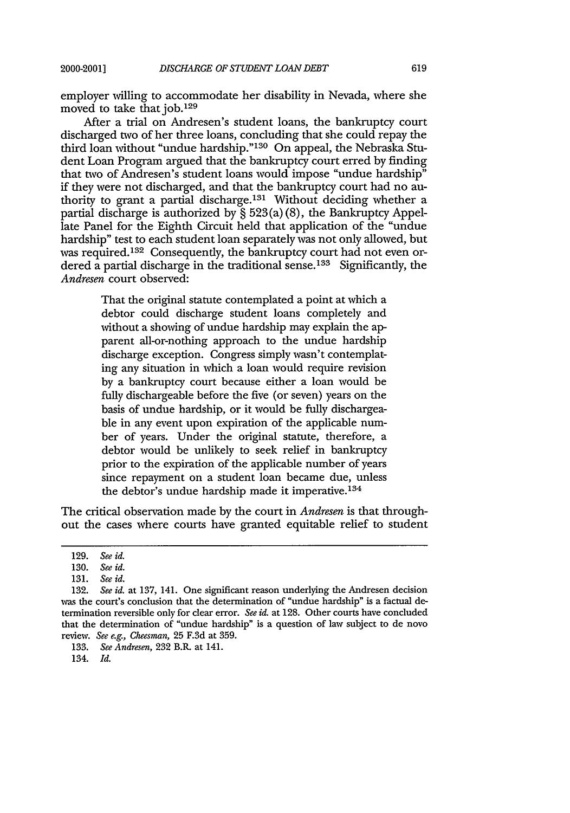employer willing to accommodate her disability in Nevada, where she moved to take that job.129

After a trial on Andresen's student loans, the bankruptcy court discharged two of her three loans, concluding that she could repay the third loan without "undue hardship."<sup>130</sup> On appeal, the Nebraska Student Loan Program argued that the bankruptcy court erred by finding that two of Andresen's student loans would impose "undue hardship" if they were not discharged, and that the bankruptcy court had no authority to grant a partial discharge.13' Without deciding whether a partial discharge is authorized by  $\S$  523(a)(8), the Bankruptcy Appellate Panel for the Eighth Circuit held that application of the "undue hardship" test to each student loan separately was not only allowed, but was required.<sup>132</sup> Consequently, the bankruptcy court had not even ordered a partial discharge in the traditional sense.<sup>133</sup> Significantly, the *Andresen* court observed:

> That the original statute contemplated a point at which a debtor could discharge student loans completely and without a showing of undue hardship may explain the apparent all-or-nothing approach to the undue hardship discharge exception. Congress simply wasn't contemplating any situation in which a loan would require revision by a bankruptcy court because either a loan would be fully dischargeable before the five (or seven) years on the basis of undue hardship, or it would be fully dischargeable in any event upon expiration of the applicable number of years. Under the original statute, therefore, a debtor would be unlikely to seek relief in bankruptcy prior to the expiration of the applicable number of years since repayment on a student loan became due, unless the debtor's undue hardship made it imperative. $134$

The critical observation made by the court in *Andresen* is that throughout the cases where courts have granted equitable relief to student

134. *Id.*

**<sup>129.</sup>** *See id.*

<sup>130.</sup> *See id.*

<sup>131.</sup> *See id.*

<sup>132.</sup> *See id.* at 137, 141. One significant reason underlying the Andresen decision was the court's conclusion that the determination of "undue hardship" is a factual determination reversible only for clear error. *See id.* at 128. Other courts have concluded that the determination of "undue hardship" is a question of law subject to de novo review. *See e.g., Cheesman,* 25 F.3d at 359.

<sup>133.</sup> *See Andresen,* 232 B.R. at 141.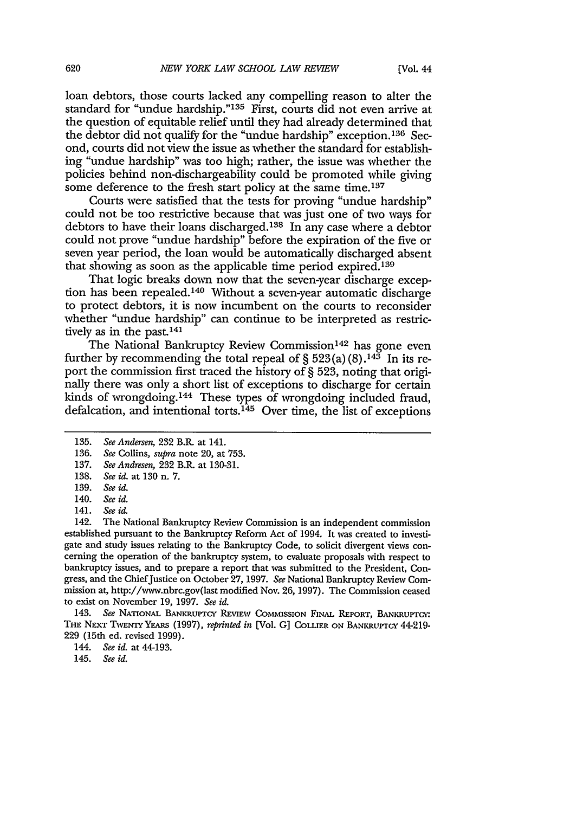loan debtors, those courts lacked any compelling reason to alter the standard for "undue hardship."135 First, courts did not even arrive at the question of equitable relief until they had already determined that the debtor did not qualify for the "undue hardship" exception.<sup>136</sup> Second, courts did not view the issue as whether the standard for establishing "undue hardship" was too high; rather, the issue was whether the policies behind non-dischargeability could be promoted while giving some deference to the fresh start policy at the same time.<sup>137</sup>

Courts were satisfied that the tests for proving "undue hardship" could not be too restrictive because that was just one of two ways for debtors to have their loans discharged. 138 In any case where a debtor could not prove "undue hardship" before the expiration of the five or seven year period, the loan would be automatically discharged absent that showing as soon as the applicable time period expired. <sup>139</sup>

That logic breaks down now that the seven-year discharge exception has been repealed. 140 Without a seven-year automatic discharge to protect debtors, it is now incumbent on the courts to reconsider whether "undue hardship" can continue to be interpreted as restrictively as in the past.<sup>141</sup>

The National Bankruptcy Review Commission<sup>142</sup> has gone even further by recommending the total repeal of  $\S 523(a)(8)$ .<sup>143</sup> In its report the commission first traced the history of § 523, noting that originally there was only a short list of exceptions to discharge for certain kinds of wrongdoing.<sup>144</sup> These types of wrongdoing included fraud, defalcation, and intentional torts.<sup>145</sup> Over time, the list of exceptions

143. See NATIONAL BANKRUPTCY REVIEW COMMISSION FINAL REPORT, BANKRUPTCY: THE NEXT TWENTY YEARS (1997), *reprinted in* [Vol. G] COLLIER ON BANKRUPTCY 44-219-229 (15th ed. revised 1999).

*144. See id.* at 44-193.

**<sup>135.</sup>** *See Andersen,* 232 B.R. at 141.

**<sup>136.</sup>** *See* Collins, *supra* note 20, at **753.**

<sup>137.</sup> *See Andresen,* 232 B.R. at 130-31.

<sup>138.</sup> *See id.* at 130 n. 7.

<sup>139.</sup> *See id.*

<sup>140.</sup> *See id.*

<sup>141.</sup> *See id.*

<sup>142.</sup> The National Bankruptcy Review Commission is an independent commission established pursuant to the Bankruptcy Reform Act of 1994. It was created to investigate and study issues relating to the Bankruptcy Code, to solicit divergent views concerning the operation of the bankruptcy system, to evaluate proposals with respect to bankruptcy issues, and to prepare a report that was submitted to the President, Congress, and the ChiefJustice on October 27, 1997. *See* National Bankruptcy Review Commission *at,* http://www.nbrc.gov(last modified Nov. 26, 1997). The Commission ceased to exist on November **19,** 1997. *See id.*